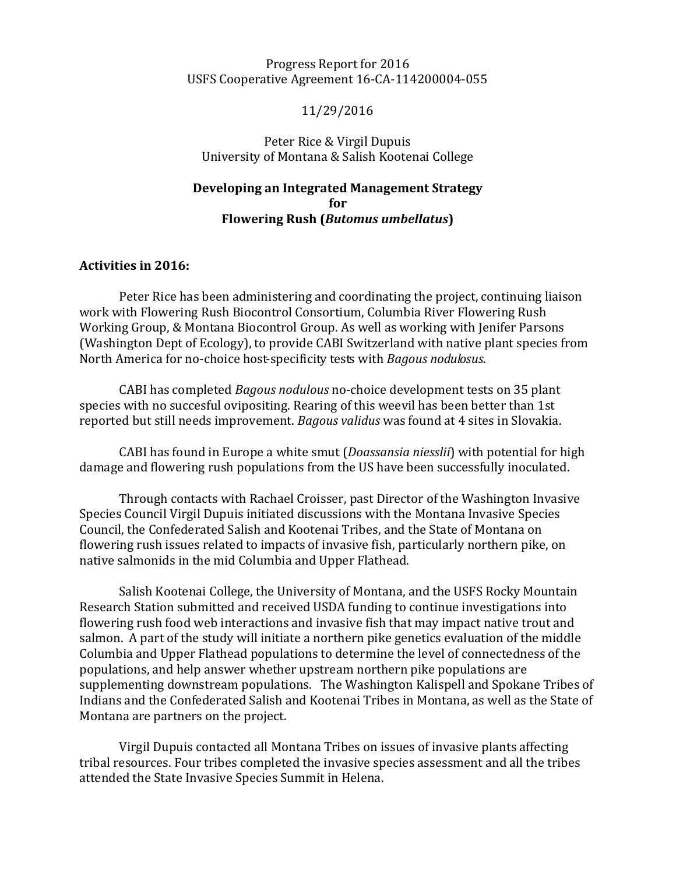#### Progress Report for 2016 USFS Cooperative Agreement 16-CA-114200004-055

#### 11/29/2016

Peter Rice & Virgil Dupuis University of Montana & Salish Kootenai College

## **Developing an Integrated Management Strategy for Flowering Rush (***Butomus umbellatus***)**

#### **Activities in 2016:**

Peter Rice has been administering and coordinating the project, continuing liaison work with Flowering Rush Biocontrol Consortium, Columbia River Flowering Rush Working Group, & Montana Biocontrol Group. As well as working with Jenifer Parsons (Washington Dept of Ecology), to provide CABI Switzerland with native plant species from North America for no-choice host-specificity tests with *Bagous nodulosus*.

CABI has completed *Bagous nodulous* no-choice development tests on 35 plant species with no succesful ovipositing. Rearing of this weevil has been better than 1st reported but still needs improvement. *Bagous validus* was found at 4 sites in Slovakia.

CABI has found in Europe a white smut (*Doassansia niesslii*) with potential for high damage and flowering rush populations from the US have been successfully inoculated.

Through contacts with Rachael Croisser, past Director of the Washington Invasive Species Council Virgil Dupuis initiated discussions with the Montana Invasive Species Council, the Confederated Salish and Kootenai Tribes, and the State of Montana on flowering rush issues related to impacts of invasive fish, particularly northern pike, on native salmonids in the mid Columbia and Upper Flathead.

Salish Kootenai College, the University of Montana, and the USFS Rocky Mountain Research Station submitted and received USDA funding to continue investigations into flowering rush food web interactions and invasive fish that may impact native trout and salmon. A part of the study will initiate a northern pike genetics evaluation of the middle Columbia and Upper Flathead populations to determine the level of connectedness of the populations, and help answer whether upstream northern pike populations are supplementing downstream populations. The Washington Kalispell and Spokane Tribes of Indians and the Confederated Salish and Kootenai Tribes in Montana, as well as the State of Montana are partners on the project.

Virgil Dupuis contacted all Montana Tribes on issues of invasive plants affecting tribal resources. Four tribes completed the invasive species assessment and all the tribes attended the State Invasive Species Summit in Helena.